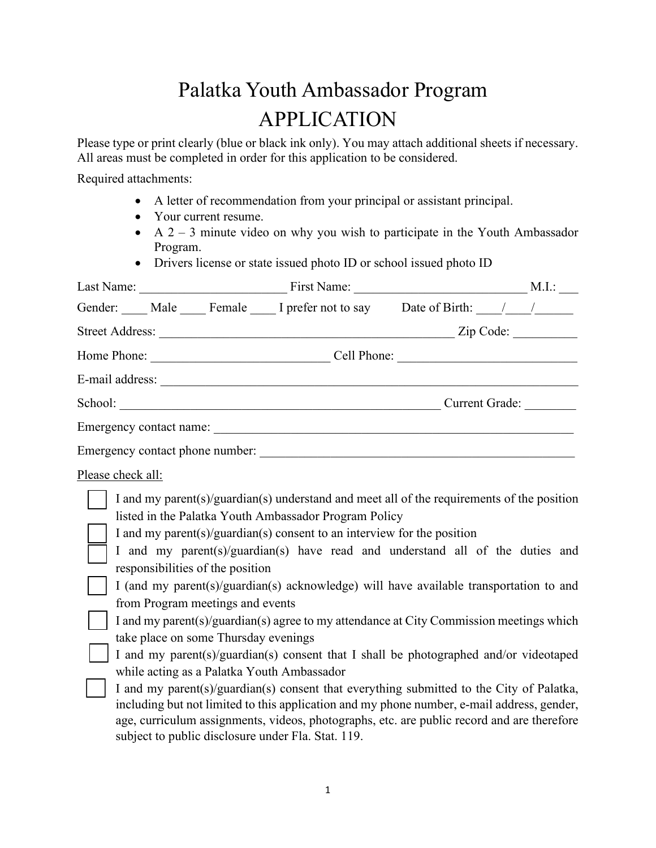## Palatka Youth Ambassador Program APPLICATION

Please type or print clearly (blue or black ink only). You may attach additional sheets if necessary. All areas must be completed in order for this application to be considered.

Required attachments:

- A letter of recommendation from your principal or assistant principal.
- Your current resume.
- A  $2 3$  minute video on why you wish to participate in the Youth Ambassador Program.
- Drivers license or state issued photo ID or school issued photo ID

|                   |                                                                                                                                                                                                                  | Gender: Male Female I prefer not to say Date of Birth: ///                                                                                                                                                                                                                                                                                                                                                                                                                                                                                                                                                                                                                                                                                                                                                                                                                            |  |
|-------------------|------------------------------------------------------------------------------------------------------------------------------------------------------------------------------------------------------------------|---------------------------------------------------------------------------------------------------------------------------------------------------------------------------------------------------------------------------------------------------------------------------------------------------------------------------------------------------------------------------------------------------------------------------------------------------------------------------------------------------------------------------------------------------------------------------------------------------------------------------------------------------------------------------------------------------------------------------------------------------------------------------------------------------------------------------------------------------------------------------------------|--|
|                   |                                                                                                                                                                                                                  |                                                                                                                                                                                                                                                                                                                                                                                                                                                                                                                                                                                                                                                                                                                                                                                                                                                                                       |  |
|                   |                                                                                                                                                                                                                  |                                                                                                                                                                                                                                                                                                                                                                                                                                                                                                                                                                                                                                                                                                                                                                                                                                                                                       |  |
|                   |                                                                                                                                                                                                                  |                                                                                                                                                                                                                                                                                                                                                                                                                                                                                                                                                                                                                                                                                                                                                                                                                                                                                       |  |
|                   |                                                                                                                                                                                                                  | School: Current Grade: Current Grade:                                                                                                                                                                                                                                                                                                                                                                                                                                                                                                                                                                                                                                                                                                                                                                                                                                                 |  |
|                   |                                                                                                                                                                                                                  |                                                                                                                                                                                                                                                                                                                                                                                                                                                                                                                                                                                                                                                                                                                                                                                                                                                                                       |  |
|                   |                                                                                                                                                                                                                  |                                                                                                                                                                                                                                                                                                                                                                                                                                                                                                                                                                                                                                                                                                                                                                                                                                                                                       |  |
| Please check all: |                                                                                                                                                                                                                  |                                                                                                                                                                                                                                                                                                                                                                                                                                                                                                                                                                                                                                                                                                                                                                                                                                                                                       |  |
|                   | responsibilities of the position<br>from Program meetings and events<br>take place on some Thursday evenings<br>while acting as a Palatka Youth Ambassador<br>subject to public disclosure under Fla. Stat. 119. | I and my parent(s)/guardian(s) understand and meet all of the requirements of the position<br>listed in the Palatka Youth Ambassador Program Policy<br>I and my parent(s)/guardian(s) consent to an interview for the position<br>I and my parent(s)/guardian(s) have read and understand all of the duties and<br>I (and my parent(s)/guardian(s) acknowledge) will have available transportation to and<br>I and my parent(s)/guardian(s) agree to my attendance at City Commission meetings which<br>I and my parent(s)/guardian(s) consent that I shall be photographed and/or videotaped<br>I and my parent(s)/guardian(s) consent that everything submitted to the City of Palatka,<br>including but not limited to this application and my phone number, e-mail address, gender,<br>age, curriculum assignments, videos, photographs, etc. are public record and are therefore |  |